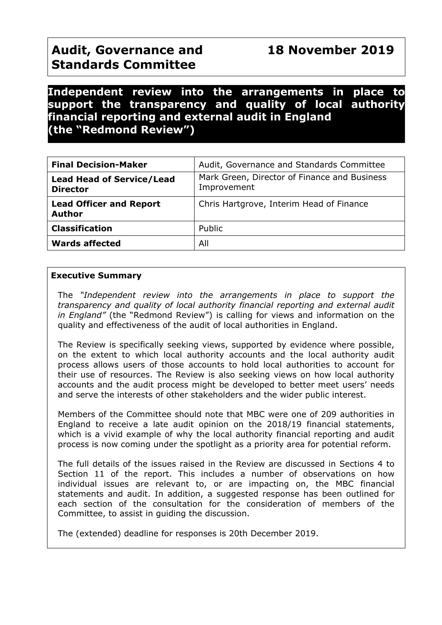# **Independent review into the arrangements in place to support the transparency and quality of local authority financial reporting and external audit in England (the "Redmond Review")**

| <b>Final Decision-Maker</b>                         | Audit, Governance and Standards Committee                   |
|-----------------------------------------------------|-------------------------------------------------------------|
| <b>Lead Head of Service/Lead</b><br><b>Director</b> | Mark Green, Director of Finance and Business<br>Improvement |
| <b>Lead Officer and Report</b><br><b>Author</b>     | Chris Hartgrove, Interim Head of Finance                    |
| <b>Classification</b>                               | Public                                                      |
| <b>Wards affected</b>                               | All                                                         |

### **Executive Summary**

The *"Independent review into the arrangements in place to support the transparency and quality of local authority financial reporting and external audit in England"* (the "Redmond Review") is calling for views and information on the quality and effectiveness of the audit of local authorities in England.

The Review is specifically seeking views, supported by evidence where possible, on the extent to which local authority accounts and the local authority audit process allows users of those accounts to hold local authorities to account for their use of resources. The Review is also seeking views on how local authority accounts and the audit process might be developed to better meet users' needs and serve the interests of other stakeholders and the wider public interest.

Members of the Committee should note that MBC were one of 209 authorities in England to receive a late audit opinion on the 2018/19 financial statements, which is a vivid example of why the local authority financial reporting and audit process is now coming under the spotlight as a priority area for potential reform.

The full details of the issues raised in the Review are discussed in Sections 4 to Section 11 of the report. This includes a number of observations on how individual issues are relevant to, or are impacting on, the MBC financial statements and audit. In addition, a suggested response has been outlined for each section of the consultation for the consideration of members of the Committee, to assist in guiding the discussion.

The (extended) deadline for responses is 20th December 2019.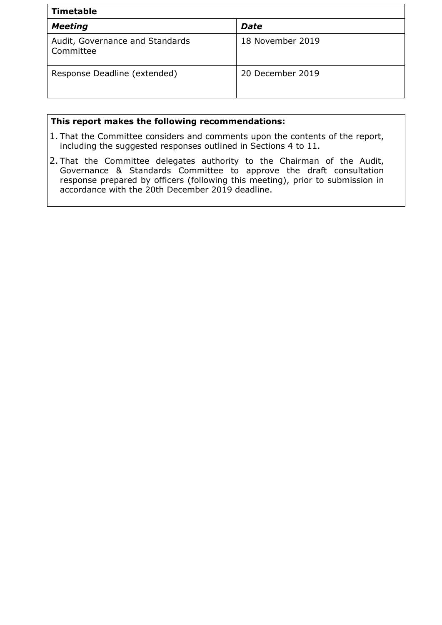| <b>Timetable</b>                             |                  |  |  |  |
|----------------------------------------------|------------------|--|--|--|
| <b>Meeting</b>                               | Date             |  |  |  |
| Audit, Governance and Standards<br>Committee | 18 November 2019 |  |  |  |
| Response Deadline (extended)                 | 20 December 2019 |  |  |  |

# **This report makes the following recommendations:**

- 1. That the Committee considers and comments upon the contents of the report, including the suggested responses outlined in Sections 4 to 11.
- 2. That the Committee delegates authority to the Chairman of the Audit, Governance & Standards Committee to approve the draft consultation response prepared by officers (following this meeting), prior to submission in accordance with the 20th December 2019 deadline.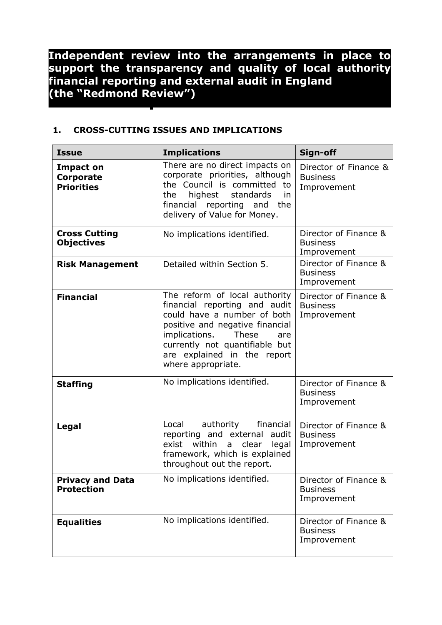**Independent review into the arrangements in place to support the transparency and quality of local authority financial reporting and external audit in England (the "Redmond Review")**

### **1. CROSS-CUTTING ISSUES AND IMPLICATIONS**

| <b>Issue</b>                                              | <b>Implications</b>                                                                                                                                                                                                                                      | Sign-off                                                |
|-----------------------------------------------------------|----------------------------------------------------------------------------------------------------------------------------------------------------------------------------------------------------------------------------------------------------------|---------------------------------------------------------|
| <b>Impact on</b><br><b>Corporate</b><br><b>Priorities</b> | There are no direct impacts on<br>corporate priorities, although<br>the Council is committed<br>to<br>the<br>highest<br>standards<br>in.<br>financial<br>reporting and<br>the<br>delivery of Value for Money.                                            | Director of Finance &<br><b>Business</b><br>Improvement |
| <b>Cross Cutting</b><br><b>Objectives</b>                 | No implications identified.                                                                                                                                                                                                                              | Director of Finance &<br><b>Business</b><br>Improvement |
| <b>Risk Management</b>                                    | Detailed within Section 5.                                                                                                                                                                                                                               | Director of Finance &<br><b>Business</b><br>Improvement |
| <b>Financial</b>                                          | The reform of local authority<br>financial reporting and audit<br>could have a number of both<br>positive and negative financial<br>implications.<br>These<br>are<br>currently not quantifiable but<br>are explained in the report<br>where appropriate. | Director of Finance &<br><b>Business</b><br>Improvement |
| <b>Staffing</b>                                           | No implications identified.                                                                                                                                                                                                                              | Director of Finance &<br><b>Business</b><br>Improvement |
| Legal                                                     | authority<br>financial<br>Local<br>reporting and external audit<br>within<br>exist<br>clear<br>legal<br>a<br>framework, which is explained<br>throughout out the report.                                                                                 | Director of Finance &<br><b>Business</b><br>Improvement |
| <b>Privacy and Data</b><br><b>Protection</b>              | No implications identified.                                                                                                                                                                                                                              | Director of Finance &<br><b>Business</b><br>Improvement |
| <b>Equalities</b>                                         | No implications identified.                                                                                                                                                                                                                              | Director of Finance &<br><b>Business</b><br>Improvement |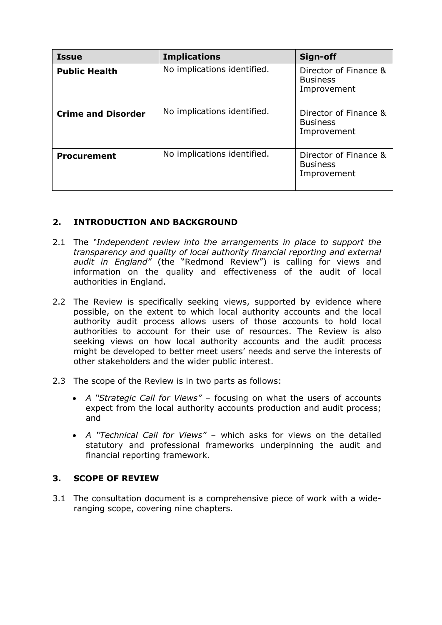| <b>Issue</b>              | <b>Implications</b>         | Sign-off                                                |
|---------------------------|-----------------------------|---------------------------------------------------------|
| <b>Public Health</b>      | No implications identified. | Director of Finance &<br><b>Business</b><br>Improvement |
| <b>Crime and Disorder</b> | No implications identified. | Director of Finance &<br><b>Business</b><br>Improvement |
| <b>Procurement</b>        | No implications identified. | Director of Finance &<br><b>Business</b><br>Improvement |

## **2. INTRODUCTION AND BACKGROUND**

- 2.1 The *"Independent review into the arrangements in place to support the transparency and quality of local authority financial reporting and external audit in England"* (the "Redmond Review") is calling for views and information on the quality and effectiveness of the audit of local authorities in England.
- 2.2 The Review is specifically seeking views, supported by evidence where possible, on the extent to which local authority accounts and the local authority audit process allows users of those accounts to hold local authorities to account for their use of resources. The Review is also seeking views on how local authority accounts and the audit process might be developed to better meet users' needs and serve the interests of other stakeholders and the wider public interest.
- 2.3 The scope of the Review is in two parts as follows:
	- *A "Strategic Call for Views"* focusing on what the users of accounts expect from the local authority accounts production and audit process; and
	- *A "Technical Call for Views"* which asks for views on the detailed statutory and professional frameworks underpinning the audit and financial reporting framework.

### **3. SCOPE OF REVIEW**

3.1 The consultation document is a comprehensive piece of work with a wideranging scope, covering nine chapters.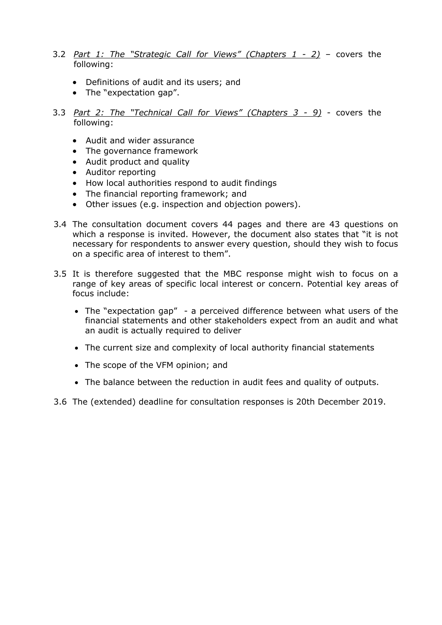- 3.2 *Part 1: The "Strategic Call for Views" (Chapters 1 - 2)* covers the following:
	- Definitions of audit and its users; and
	- The "expectation gap".
- 3.3 *Part 2: The "Technical Call for Views" (Chapters 3 - 9)* covers the following:
	- Audit and wider assurance
	- The governance framework
	- Audit product and quality
	- Auditor reporting
	- How local authorities respond to audit findings
	- The financial reporting framework; and
	- Other issues (e.g. inspection and objection powers).
- 3.4 The consultation document covers 44 pages and there are 43 questions on which a response is invited. However, the document also states that "it is not necessary for respondents to answer every question, should they wish to focus on a specific area of interest to them".
- 3.5 It is therefore suggested that the MBC response might wish to focus on a range of key areas of specific local interest or concern. Potential key areas of focus include:
	- The "expectation gap" a perceived difference between what users of the financial statements and other stakeholders expect from an audit and what an audit is actually required to deliver
	- The current size and complexity of local authority financial statements
	- The scope of the VFM opinion; and
	- The balance between the reduction in audit fees and quality of outputs.
- 3.6 The (extended) deadline for consultation responses is 20th December 2019.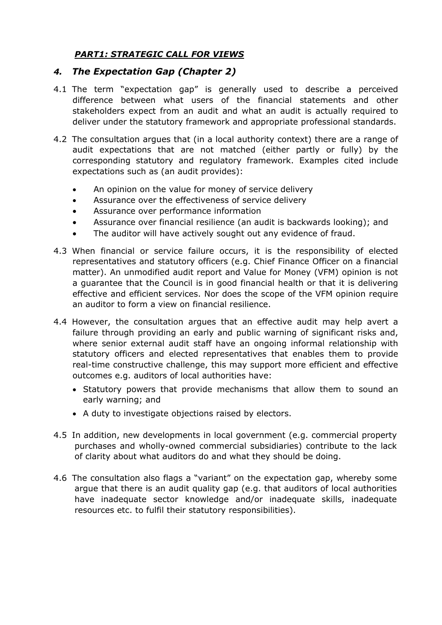## *PART1: STRATEGIC CALL FOR VIEWS*

## *4. The Expectation Gap (Chapter 2)*

- 4.1 The term "expectation gap" is generally used to describe a perceived difference between what users of the financial statements and other stakeholders expect from an audit and what an audit is actually required to deliver under the statutory framework and appropriate professional standards.
- 4.2 The consultation argues that (in a local authority context) there are a range of audit expectations that are not matched (either partly or fully) by the corresponding statutory and regulatory framework. Examples cited include expectations such as (an audit provides):
	- An opinion on the value for money of service delivery
	- Assurance over the effectiveness of service delivery
	- Assurance over performance information
	- Assurance over financial resilience (an audit is backwards looking); and
	- The auditor will have actively sought out any evidence of fraud.
- 4.3 When financial or service failure occurs, it is the responsibility of elected representatives and statutory officers (e.g. Chief Finance Officer on a financial matter). An unmodified audit report and Value for Money (VFM) opinion is not a guarantee that the Council is in good financial health or that it is delivering effective and efficient services. Nor does the scope of the VFM opinion require an auditor to form a view on financial resilience.
- 4.4 However, the consultation argues that an effective audit may help avert a failure through providing an early and public warning of significant risks and, where senior external audit staff have an ongoing informal relationship with statutory officers and elected representatives that enables them to provide real-time constructive challenge, this may support more efficient and effective outcomes e.g. auditors of local authorities have:
	- Statutory powers that provide mechanisms that allow them to sound an early warning; and
	- A duty to investigate objections raised by electors.
- 4.5 In addition, new developments in local government (e.g. commercial property purchases and wholly-owned commercial subsidiaries) contribute to the lack of clarity about what auditors do and what they should be doing.
- 4.6 The consultation also flags a "variant" on the expectation gap, whereby some argue that there is an audit quality gap (e.g. that auditors of local authorities have inadequate sector knowledge and/or inadequate skills, inadequate resources etc. to fulfil their statutory responsibilities).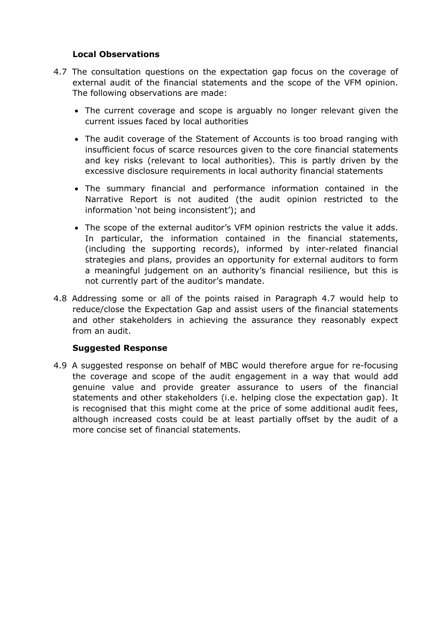### **Local Observations**

- 4.7 The consultation questions on the expectation gap focus on the coverage of external audit of the financial statements and the scope of the VFM opinion. The following observations are made:
	- The current coverage and scope is arguably no longer relevant given the current issues faced by local authorities
	- The audit coverage of the Statement of Accounts is too broad ranging with insufficient focus of scarce resources given to the core financial statements and key risks (relevant to local authorities). This is partly driven by the excessive disclosure requirements in local authority financial statements
	- The summary financial and performance information contained in the Narrative Report is not audited (the audit opinion restricted to the information 'not being inconsistent'); and
	- The scope of the external auditor's VFM opinion restricts the value it adds. In particular, the information contained in the financial statements, (including the supporting records), informed by inter-related financial strategies and plans, provides an opportunity for external auditors to form a meaningful judgement on an authority's financial resilience, but this is not currently part of the auditor's mandate.
- 4.8 Addressing some or all of the points raised in Paragraph 4.7 would help to reduce/close the Expectation Gap and assist users of the financial statements and other stakeholders in achieving the assurance they reasonably expect from an audit.

### **Suggested Response**

4.9 A suggested response on behalf of MBC would therefore argue for re-focusing the coverage and scope of the audit engagement in a way that would add genuine value and provide greater assurance to users of the financial statements and other stakeholders (i.e. helping close the expectation gap). It is recognised that this might come at the price of some additional audit fees, although increased costs could be at least partially offset by the audit of a more concise set of financial statements.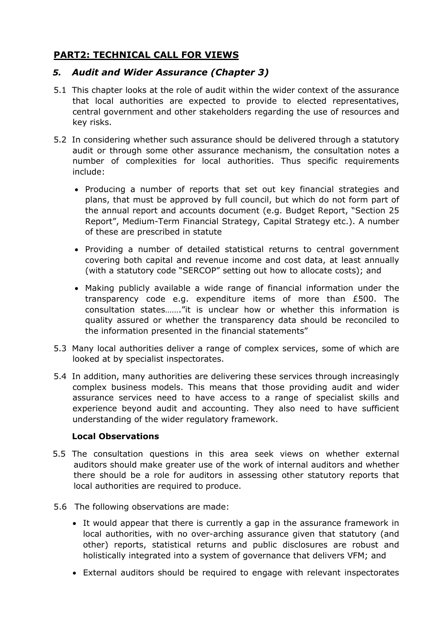# **PART2: TECHNICAL CALL FOR VIEWS**

## *5. Audit and Wider Assurance (Chapter 3)*

- 5.1 This chapter looks at the role of audit within the wider context of the assurance that local authorities are expected to provide to elected representatives, central government and other stakeholders regarding the use of resources and key risks.
- 5.2 In considering whether such assurance should be delivered through a statutory audit or through some other assurance mechanism, the consultation notes a number of complexities for local authorities. Thus specific requirements include:
	- Producing a number of reports that set out key financial strategies and plans, that must be approved by full council, but which do not form part of the annual report and accounts document (e.g. Budget Report, "Section 25 Report", Medium-Term Financial Strategy, Capital Strategy etc.). A number of these are prescribed in statute
	- Providing a number of detailed statistical returns to central government covering both capital and revenue income and cost data, at least annually (with a statutory code "SERCOP" setting out how to allocate costs); and
	- Making publicly available a wide range of financial information under the transparency code e.g. expenditure items of more than £500. The consultation states……."it is unclear how or whether this information is quality assured or whether the transparency data should be reconciled to the information presented in the financial statements"
- 5.3 Many local authorities deliver a range of complex services, some of which are looked at by specialist inspectorates.
- 5.4 In addition, many authorities are delivering these services through increasingly complex business models. This means that those providing audit and wider assurance services need to have access to a range of specialist skills and experience beyond audit and accounting. They also need to have sufficient understanding of the wider regulatory framework.

### **Local Observations**

- 5.5 The consultation questions in this area seek views on whether external auditors should make greater use of the work of internal auditors and whether there should be a role for auditors in assessing other statutory reports that local authorities are required to produce.
- 5.6 The following observations are made:
	- It would appear that there is currently a gap in the assurance framework in local authorities, with no over-arching assurance given that statutory (and other) reports, statistical returns and public disclosures are robust and holistically integrated into a system of governance that delivers VFM; and
	- External auditors should be required to engage with relevant inspectorates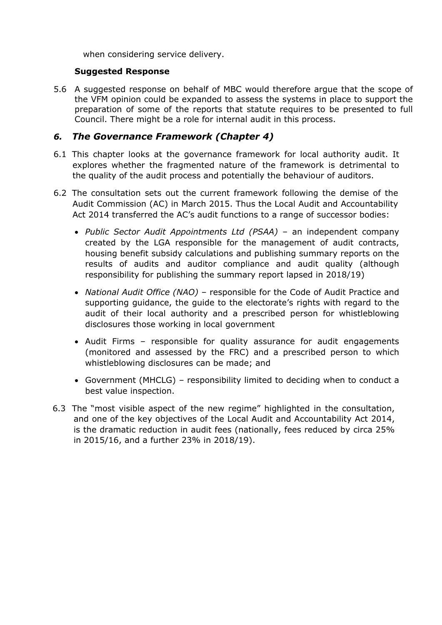when considering service delivery.

### **Suggested Response**

5.6 A suggested response on behalf of MBC would therefore argue that the scope of the VFM opinion could be expanded to assess the systems in place to support the preparation of some of the reports that statute requires to be presented to full Council. There might be a role for internal audit in this process.

## *6. The Governance Framework (Chapter 4)*

- 6.1 This chapter looks at the governance framework for local authority audit. It explores whether the fragmented nature of the framework is detrimental to the quality of the audit process and potentially the behaviour of auditors.
- 6.2 The consultation sets out the current framework following the demise of the Audit Commission (AC) in March 2015. Thus the Local Audit and Accountability Act 2014 transferred the AC's audit functions to a range of successor bodies:
	- *Public Sector Audit Appointments Ltd (PSAA)* an independent company created by the LGA responsible for the management of audit contracts, housing benefit subsidy calculations and publishing summary reports on the results of audits and auditor compliance and audit quality (although responsibility for publishing the summary report lapsed in 2018/19)
	- *National Audit Office (NAO)* responsible for the Code of Audit Practice and supporting guidance, the guide to the electorate's rights with regard to the audit of their local authority and a prescribed person for whistleblowing disclosures those working in local government
	- Audit Firms responsible for quality assurance for audit engagements (monitored and assessed by the FRC) and a prescribed person to which whistleblowing disclosures can be made; and
	- Government (MHCLG) responsibility limited to deciding when to conduct a best value inspection.
- 6.3 The "most visible aspect of the new regime" highlighted in the consultation, and one of the key objectives of the Local Audit and Accountability Act 2014, is the dramatic reduction in audit fees (nationally, fees reduced by circa 25% in 2015/16, and a further 23% in 2018/19).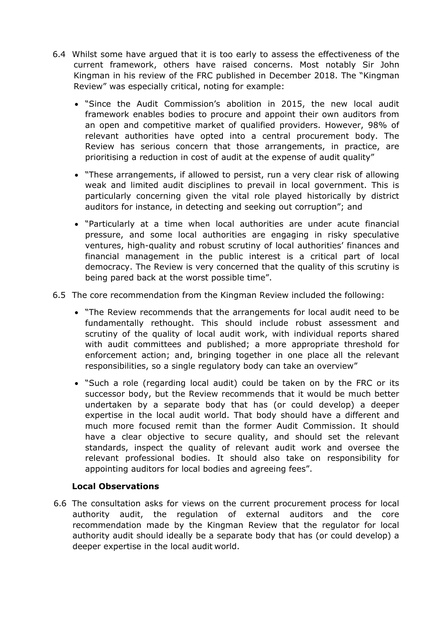- 6.4 Whilst some have argued that it is too early to assess the effectiveness of the current framework, others have raised concerns. Most notably Sir John Kingman in his review of the FRC published in December 2018. The "Kingman Review" was especially critical, noting for example:
	- "Since the Audit Commission's abolition in 2015, the new local audit framework enables bodies to procure and appoint their own auditors from an open and competitive market of qualified providers. However, 98% of relevant authorities have opted into a central procurement body. The Review has serious concern that those arrangements, in practice, are prioritising a reduction in cost of audit at the expense of audit quality"
	- "These arrangements, if allowed to persist, run a very clear risk of allowing weak and limited audit disciplines to prevail in local government. This is particularly concerning given the vital role played historically by district auditors for instance, in detecting and seeking out corruption"; and
	- "Particularly at a time when local authorities are under acute financial pressure, and some local authorities are engaging in risky speculative ventures, high-quality and robust scrutiny of local authorities' finances and financial management in the public interest is a critical part of local democracy. The Review is very concerned that the quality of this scrutiny is being pared back at the worst possible time".
- 6.5 The core recommendation from the Kingman Review included the following:
	- "The Review recommends that the arrangements for local audit need to be fundamentally rethought. This should include robust assessment and scrutiny of the quality of local audit work, with individual reports shared with audit committees and published; a more appropriate threshold for enforcement action; and, bringing together in one place all the relevant responsibilities, so a single regulatory body can take an overview"
	- "Such a role (regarding local audit) could be taken on by the FRC or its successor body, but the Review recommends that it would be much better undertaken by a separate body that has (or could develop) a deeper expertise in the local audit world. That body should have a different and much more focused remit than the former Audit Commission. It should have a clear objective to secure quality, and should set the relevant standards, inspect the quality of relevant audit work and oversee the relevant professional bodies. It should also take on responsibility for appointing auditors for local bodies and agreeing fees".

### **Local Observations**

6.6 The consultation asks for views on the current procurement process for local authority audit, the regulation of external auditors and the core recommendation made by the Kingman Review that the regulator for local authority audit should ideally be a separate body that has (or could develop) a deeper expertise in the local audit world.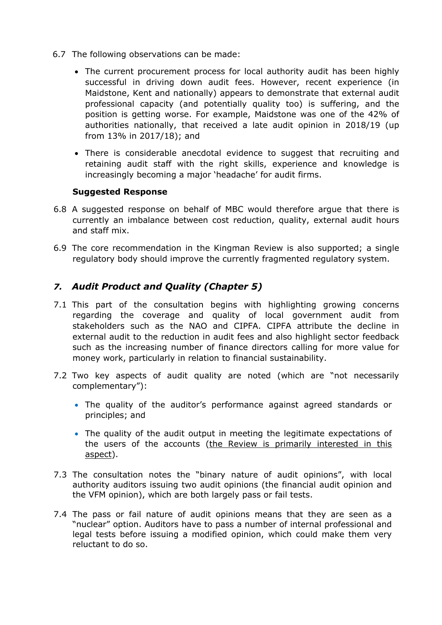- 6.7 The following observations can be made:
	- The current procurement process for local authority audit has been highly successful in driving down audit fees. However, recent experience (in Maidstone, Kent and nationally) appears to demonstrate that external audit professional capacity (and potentially quality too) is suffering, and the position is getting worse. For example, Maidstone was one of the 42% of authorities nationally, that received a late audit opinion in 2018/19 (up from 13% in 2017/18); and
	- There is considerable anecdotal evidence to suggest that recruiting and retaining audit staff with the right skills, experience and knowledge is increasingly becoming a major 'headache' for audit firms.

### **Suggested Response**

- 6.8 A suggested response on behalf of MBC would therefore argue that there is currently an imbalance between cost reduction, quality, external audit hours and staff mix.
- 6.9 The core recommendation in the Kingman Review is also supported; a single regulatory body should improve the currently fragmented regulatory system.

## *7. Audit Product and Quality (Chapter 5)*

- 7.1 This part of the consultation begins with highlighting growing concerns regarding the coverage and quality of local government audit from stakeholders such as the NAO and CIPFA. CIPFA attribute the decline in external audit to the reduction in audit fees and also highlight sector feedback such as the increasing number of finance directors calling for more value for money work, particularly in relation to financial sustainability.
- 7.2 Two key aspects of audit quality are noted (which are "not necessarily complementary"):
	- The quality of the auditor's performance against agreed standards or principles; and
	- The quality of the audit output in meeting the legitimate expectations of the users of the accounts (the Review is primarily interested in this aspect).
- 7.3 The consultation notes the "binary nature of audit opinions", with local authority auditors issuing two audit opinions (the financial audit opinion and the VFM opinion), which are both largely pass or fail tests.
- 7.4 The pass or fail nature of audit opinions means that they are seen as a "nuclear" option. Auditors have to pass a number of internal professional and legal tests before issuing a modified opinion, which could make them very reluctant to do so.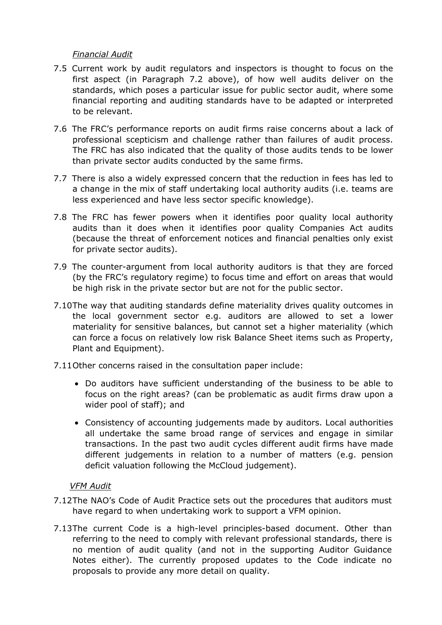### *Financial Audit*

- 7.5 Current work by audit regulators and inspectors is thought to focus on the first aspect (in Paragraph 7.2 above), of how well audits deliver on the standards, which poses a particular issue for public sector audit, where some financial reporting and auditing standards have to be adapted or interpreted to be relevant.
- 7.6 The FRC's performance reports on audit firms raise concerns about a lack of professional scepticism and challenge rather than failures of audit process. The FRC has also indicated that the quality of those audits tends to be lower than private sector audits conducted by the same firms.
- 7.7 There is also a widely expressed concern that the reduction in fees has led to a change in the mix of staff undertaking local authority audits (i.e. teams are less experienced and have less sector specific knowledge).
- 7.8 The FRC has fewer powers when it identifies poor quality local authority audits than it does when it identifies poor quality Companies Act audits (because the threat of enforcement notices and financial penalties only exist for private sector audits).
- 7.9 The counter-argument from local authority auditors is that they are forced (by the FRC's regulatory regime) to focus time and effort on areas that would be high risk in the private sector but are not for the public sector.
- 7.10The way that auditing standards define materiality drives quality outcomes in the local government sector e.g. auditors are allowed to set a lower materiality for sensitive balances, but cannot set a higher materiality (which can force a focus on relatively low risk Balance Sheet items such as Property, Plant and Equipment).
- 7.11Other concerns raised in the consultation paper include:
	- Do auditors have sufficient understanding of the business to be able to focus on the right areas? (can be problematic as audit firms draw upon a wider pool of staff); and
	- Consistency of accounting judgements made by auditors. Local authorities all undertake the same broad range of services and engage in similar transactions. In the past two audit cycles different audit firms have made different judgements in relation to a number of matters (e.g. pension deficit valuation following the McCloud judgement).

### *VFM Audit*

- 7.12The NAO's Code of Audit Practice sets out the procedures that auditors must have regard to when undertaking work to support a VFM opinion.
- 7.13The current Code is a high-level principles-based document. Other than referring to the need to comply with relevant professional standards, there is no mention of audit quality (and not in the supporting Auditor Guidance Notes either). The currently proposed updates to the Code indicate no proposals to provide any more detail on quality.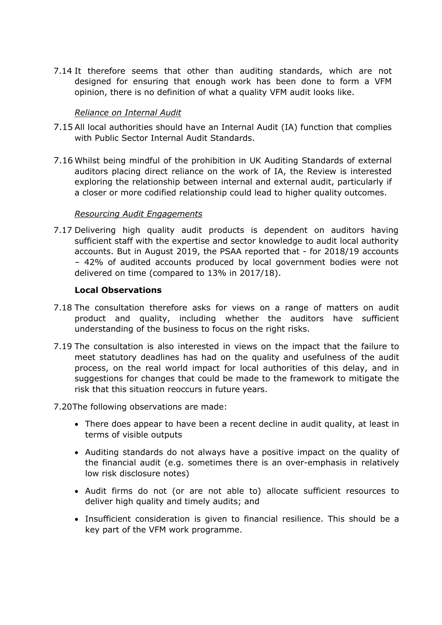7.14 It therefore seems that other than auditing standards, which are not designed for ensuring that enough work has been done to form a VFM opinion, there is no definition of what a quality VFM audit looks like.

### *Reliance on Internal Audit*

- 7.15 All local authorities should have an Internal Audit (IA) function that complies with Public Sector Internal Audit Standards.
- 7.16 Whilst being mindful of the prohibition in UK Auditing Standards of external auditors placing direct reliance on the work of IA, the Review is interested exploring the relationship between internal and external audit, particularly if a closer or more codified relationship could lead to higher quality outcomes.

### *Resourcing Audit Engagements*

7.17 Delivering high quality audit products is dependent on auditors having sufficient staff with the expertise and sector knowledge to audit local authority accounts. But in August 2019, the PSAA reported that - for 2018/19 accounts – 42% of audited accounts produced by local government bodies were not delivered on time (compared to 13% in 2017/18).

### **Local Observations**

- 7.18 The consultation therefore asks for views on a range of matters on audit product and quality, including whether the auditors have sufficient understanding of the business to focus on the right risks.
- 7.19 The consultation is also interested in views on the impact that the failure to meet statutory deadlines has had on the quality and usefulness of the audit process, on the real world impact for local authorities of this delay, and in suggestions for changes that could be made to the framework to mitigate the risk that this situation reoccurs in future years.
- 7.20The following observations are made:
	- There does appear to have been a recent decline in audit quality, at least in terms of visible outputs
	- Auditing standards do not always have a positive impact on the quality of the financial audit (e.g. sometimes there is an over-emphasis in relatively low risk disclosure notes)
	- Audit firms do not (or are not able to) allocate sufficient resources to deliver high quality and timely audits; and
	- Insufficient consideration is given to financial resilience. This should be a key part of the VFM work programme.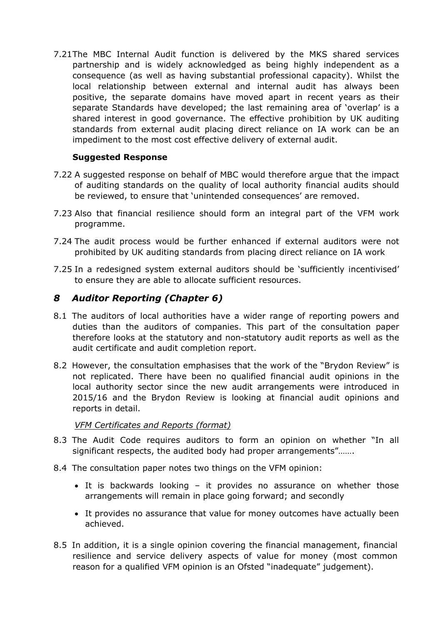7.21The MBC Internal Audit function is delivered by the MKS shared services partnership and is widely acknowledged as being highly independent as a consequence (as well as having substantial professional capacity). Whilst the local relationship between external and internal audit has always been positive, the separate domains have moved apart in recent years as their separate Standards have developed; the last remaining area of 'overlap' is a shared interest in good governance. The effective prohibition by UK auditing standards from external audit placing direct reliance on IA work can be an impediment to the most cost effective delivery of external audit.

### **Suggested Response**

- 7.22 A suggested response on behalf of MBC would therefore argue that the impact of auditing standards on the quality of local authority financial audits should be reviewed, to ensure that 'unintended consequences' are removed.
- 7.23 Also that financial resilience should form an integral part of the VFM work programme.
- 7.24 The audit process would be further enhanced if external auditors were not prohibited by UK auditing standards from placing direct reliance on IA work
- 7.25 In a redesigned system external auditors should be 'sufficiently incentivised' to ensure they are able to allocate sufficient resources.

## *8 Auditor Reporting (Chapter 6)*

- 8.1 The auditors of local authorities have a wider range of reporting powers and duties than the auditors of companies. This part of the consultation paper therefore looks at the statutory and non-statutory audit reports as well as the audit certificate and audit completion report.
- 8.2 However, the consultation emphasises that the work of the "Brydon Review" is not replicated. There have been no qualified financial audit opinions in the local authority sector since the new audit arrangements were introduced in 2015/16 and the Brydon Review is looking at financial audit opinions and reports in detail.

## *VFM Certificates and Reports (format)*

- 8.3 The Audit Code requires auditors to form an opinion on whether "In all significant respects, the audited body had proper arrangements"…….
- 8.4 The consultation paper notes two things on the VFM opinion:
	- It is backwards looking it provides no assurance on whether those arrangements will remain in place going forward; and secondly
	- It provides no assurance that value for money outcomes have actually been achieved.
- 8.5 In addition, it is a single opinion covering the financial management, financial resilience and service delivery aspects of value for money (most common reason for a qualified VFM opinion is an Ofsted "inadequate" judgement).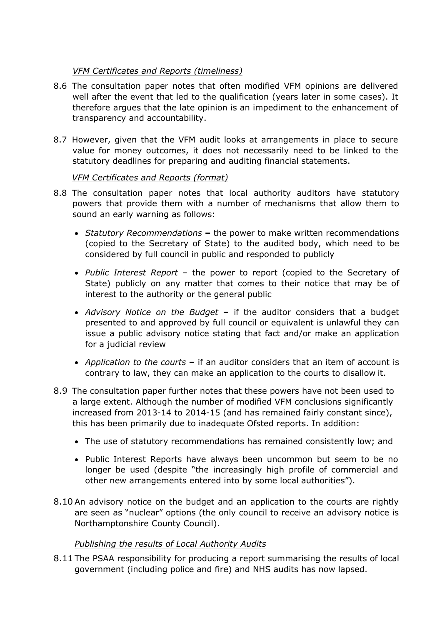## *VFM Certificates and Reports (timeliness)*

- 8.6 The consultation paper notes that often modified VFM opinions are delivered well after the event that led to the qualification (years later in some cases). It therefore argues that the late opinion is an impediment to the enhancement of transparency and accountability.
- 8.7 However, given that the VFM audit looks at arrangements in place to secure value for money outcomes, it does not necessarily need to be linked to the statutory deadlines for preparing and auditing financial statements.

## *VFM Certificates and Reports (format)*

- 8.8 The consultation paper notes that local authority auditors have statutory powers that provide them with a number of mechanisms that allow them to sound an early warning as follows:
	- *Statutory Recommendations* **–** the power to make written recommendations (copied to the Secretary of State) to the audited body, which need to be considered by full council in public and responded to publicly
	- *Public Interest Report* the power to report (copied to the Secretary of State) publicly on any matter that comes to their notice that may be of interest to the authority or the general public
	- *Advisory Notice on the Budget* **–** if the auditor considers that a budget presented to and approved by full council or equivalent is unlawful they can issue a public advisory notice stating that fact and/or make an application for a judicial review
	- *Application to the courts* **–** if an auditor considers that an item of account is contrary to law, they can make an application to the courts to disallow it.
- 8.9 The consultation paper further notes that these powers have not been used to a large extent. Although the number of modified VFM conclusions significantly increased from 2013-14 to 2014-15 (and has remained fairly constant since), this has been primarily due to inadequate Ofsted reports. In addition:
	- The use of statutory recommendations has remained consistently low; and
	- Public Interest Reports have always been uncommon but seem to be no longer be used (despite "the increasingly high profile of commercial and other new arrangements entered into by some local authorities").
- 8.10 An advisory notice on the budget and an application to the courts are rightly are seen as "nuclear" options (the only council to receive an advisory notice is Northamptonshire County Council).

## *Publishing the results of Local Authority Audits*

8.11 The PSAA responsibility for producing a report summarising the results of local government (including police and fire) and NHS audits has now lapsed.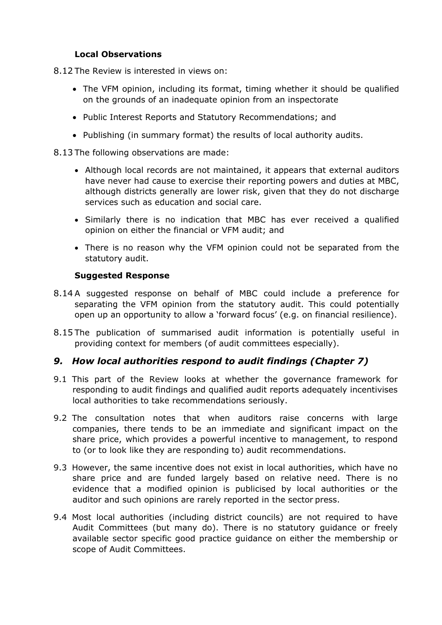### **Local Observations**

8.12 The Review is interested in views on:

- The VFM opinion, including its format, timing whether it should be qualified on the grounds of an inadequate opinion from an inspectorate
- Public Interest Reports and Statutory Recommendations; and
- Publishing (in summary format) the results of local authority audits.

### 8.13 The following observations are made:

- Although local records are not maintained, it appears that external auditors have never had cause to exercise their reporting powers and duties at MBC, although districts generally are lower risk, given that they do not discharge services such as education and social care.
- Similarly there is no indication that MBC has ever received a qualified opinion on either the financial or VFM audit; and
- There is no reason why the VFM opinion could not be separated from the statutory audit.

### **Suggested Response**

- 8.14 A suggested response on behalf of MBC could include a preference for separating the VFM opinion from the statutory audit. This could potentially open up an opportunity to allow a 'forward focus' (e.g. on financial resilience).
- 8.15 The publication of summarised audit information is potentially useful in providing context for members (of audit committees especially).

## *9. How local authorities respond to audit findings (Chapter 7)*

- 9.1 This part of the Review looks at whether the governance framework for responding to audit findings and qualified audit reports adequately incentivises local authorities to take recommendations seriously.
- 9.2 The consultation notes that when auditors raise concerns with large companies, there tends to be an immediate and significant impact on the share price, which provides a powerful incentive to management, to respond to (or to look like they are responding to) audit recommendations.
- 9.3 However, the same incentive does not exist in local authorities, which have no share price and are funded largely based on relative need. There is no evidence that a modified opinion is publicised by local authorities or the auditor and such opinions are rarely reported in the sector press.
- 9.4 Most local authorities (including district councils) are not required to have Audit Committees (but many do). There is no statutory guidance or freely available sector specific good practice guidance on either the membership or scope of Audit Committees.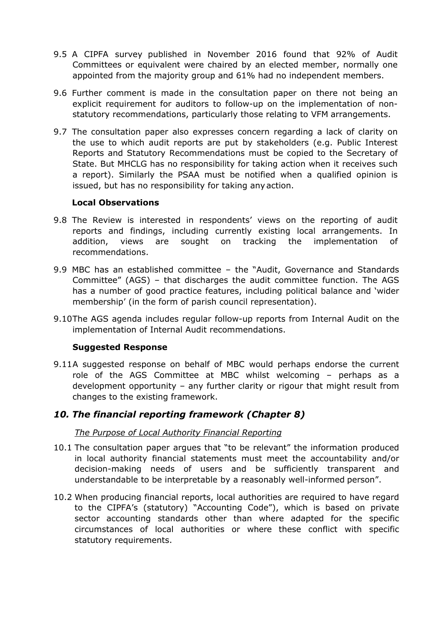- 9.5 A CIPFA survey published in November 2016 found that 92% of Audit Committees or equivalent were chaired by an elected member, normally one appointed from the majority group and 61% had no independent members.
- 9.6 Further comment is made in the consultation paper on there not being an explicit requirement for auditors to follow-up on the implementation of nonstatutory recommendations, particularly those relating to VFM arrangements.
- 9.7 The consultation paper also expresses concern regarding a lack of clarity on the use to which audit reports are put by stakeholders (e.g. Public Interest Reports and Statutory Recommendations must be copied to the Secretary of State. But MHCLG has no responsibility for taking action when it receives such a report). Similarly the PSAA must be notified when a qualified opinion is issued, but has no responsibility for taking anyaction.

### **Local Observations**

- 9.8 The Review is interested in respondents' views on the reporting of audit reports and findings, including currently existing local arrangements. In addition, views are sought on tracking the implementation of recommendations.
- 9.9 MBC has an established committee the "Audit, Governance and Standards Committee" (AGS) – that discharges the audit committee function. The AGS has a number of good practice features, including political balance and 'wider membership' (in the form of parish council representation).
- 9.10The AGS agenda includes regular follow-up reports from Internal Audit on the implementation of Internal Audit recommendations.

#### **Suggested Response**

9.11A suggested response on behalf of MBC would perhaps endorse the current role of the AGS Committee at MBC whilst welcoming – perhaps as a development opportunity – any further clarity or rigour that might result from changes to the existing framework.

## *10. The financial reporting framework (Chapter 8)*

### *The Purpose of Local Authority Financial Reporting*

- 10.1 The consultation paper argues that "to be relevant" the information produced in local authority financial statements must meet the accountability and/or decision-making needs of users and be sufficiently transparent and understandable to be interpretable by a reasonably well-informed person".
- 10.2 When producing financial reports, local authorities are required to have regard to the CIPFA's (statutory) "Accounting Code"), which is based on private sector accounting standards other than where adapted for the specific circumstances of local authorities or where these conflict with specific statutory requirements.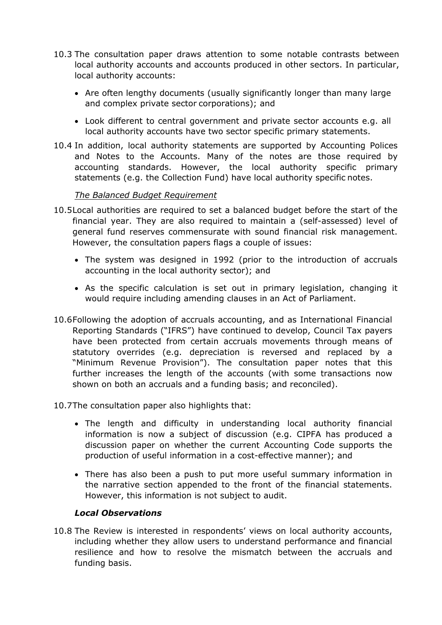- 10.3 The consultation paper draws attention to some notable contrasts between local authority accounts and accounts produced in other sectors. In particular, local authority accounts:
	- Are often lengthy documents (usually significantly longer than many large and complex private sector corporations); and
	- Look different to central government and private sector accounts e.g. all local authority accounts have two sector specific primary statements.
- 10.4 In addition, local authority statements are supported by Accounting Polices and Notes to the Accounts. Many of the notes are those required by accounting standards. However, the local authority specific primary statements (e.g. the Collection Fund) have local authority specific notes.

### *The Balanced Budget Requirement*

- 10.5Local authorities are required to set a balanced budget before the start of the financial year. They are also required to maintain a (self-assessed) level of general fund reserves commensurate with sound financial risk management. However, the consultation papers flags a couple of issues:
	- The system was designed in 1992 (prior to the introduction of accruals accounting in the local authority sector); and
	- As the specific calculation is set out in primary legislation, changing it would require including amending clauses in an Act of Parliament.
- 10.6Following the adoption of accruals accounting, and as International Financial Reporting Standards ("IFRS") have continued to develop, Council Tax payers have been protected from certain accruals movements through means of statutory overrides (e.g. depreciation is reversed and replaced by a "Minimum Revenue Provision"). The consultation paper notes that this further increases the length of the accounts (with some transactions now shown on both an accruals and a funding basis; and reconciled).
- 10.7The consultation paper also highlights that:
	- The length and difficulty in understanding local authority financial information is now a subject of discussion (e.g. CIPFA has produced a discussion paper on whether the current Accounting Code supports the production of useful information in a cost-effective manner); and
	- There has also been a push to put more useful summary information in the narrative section appended to the front of the financial statements. However, this information is not subject to audit.

### *Local Observations*

10.8 The Review is interested in respondents' views on local authority accounts, including whether they allow users to understand performance and financial resilience and how to resolve the mismatch between the accruals and funding basis.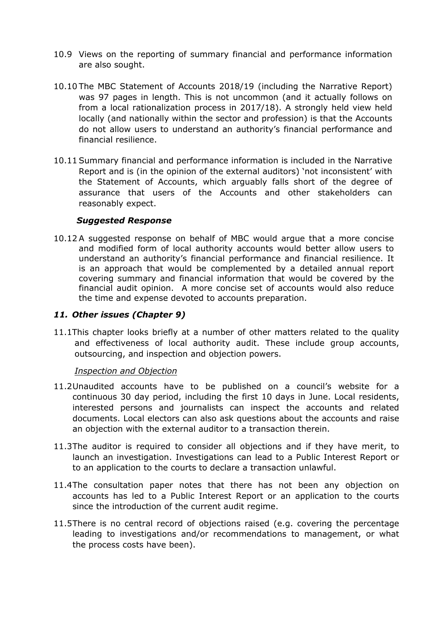- 10.9 Views on the reporting of summary financial and performance information are also sought.
- 10.10 The MBC Statement of Accounts 2018/19 (including the Narrative Report) was 97 pages in length. This is not uncommon (and it actually follows on from a local rationalization process in 2017/18). A strongly held view held locally (and nationally within the sector and profession) is that the Accounts do not allow users to understand an authority's financial performance and financial resilience.
- 10.11 Summary financial and performance information is included in the Narrative Report and is (in the opinion of the external auditors) 'not inconsistent' with the Statement of Accounts, which arguably falls short of the degree of assurance that users of the Accounts and other stakeholders can reasonably expect.

### *Suggested Response*

10.12 A suggested response on behalf of MBC would argue that a more concise and modified form of local authority accounts would better allow users to understand an authority's financial performance and financial resilience. It is an approach that would be complemented by a detailed annual report covering summary and financial information that would be covered by the financial audit opinion. A more concise set of accounts would also reduce the time and expense devoted to accounts preparation.

### *11. Other issues (Chapter 9)*

11.1This chapter looks briefly at a number of other matters related to the quality and effectiveness of local authority audit. These include group accounts, outsourcing, and inspection and objection powers.

#### *Inspection and Objection*

- 11.2Unaudited accounts have to be published on a council's website for a continuous 30 day period, including the first 10 days in June. Local residents, interested persons and journalists can inspect the accounts and related documents. Local electors can also ask questions about the accounts and raise an objection with the external auditor to a transaction therein.
- 11.3The auditor is required to consider all objections and if they have merit, to launch an investigation. Investigations can lead to a Public Interest Report or to an application to the courts to declare a transaction unlawful.
- 11.4The consultation paper notes that there has not been any objection on accounts has led to a Public Interest Report or an application to the courts since the introduction of the current audit regime.
- 11.5There is no central record of objections raised (e.g. covering the percentage leading to investigations and/or recommendations to management, or what the process costs have been).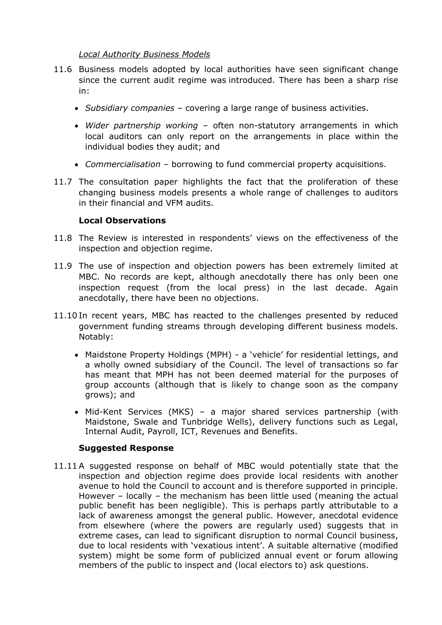### *Local Authority Business Models*

- 11.6 Business models adopted by local authorities have seen significant change since the current audit regime was introduced. There has been a sharp rise in:
	- *Subsidiary companies –* covering a large range of business activities.
	- *Wider partnership working* often non-statutory arrangements in which local auditors can only report on the arrangements in place within the individual bodies they audit; and
	- *Commercialisation* borrowing to fund commercial property acquisitions.
- 11.7 The consultation paper highlights the fact that the proliferation of these changing business models presents a whole range of challenges to auditors in their financial and VFM audits.

### **Local Observations**

- 11.8 The Review is interested in respondents' views on the effectiveness of the inspection and objection regime.
- 11.9 The use of inspection and objection powers has been extremely limited at MBC. No records are kept, although anecdotally there has only been one inspection request (from the local press) in the last decade. Again anecdotally, there have been no objections.
- 11.10 In recent years, MBC has reacted to the challenges presented by reduced government funding streams through developing different business models. Notably:
	- Maidstone Property Holdings (MPH) a 'vehicle' for residential lettings, and a wholly owned subsidiary of the Council. The level of transactions so far has meant that MPH has not been deemed material for the purposes of group accounts (although that is likely to change soon as the company grows); and
	- Mid-Kent Services (MKS) a major shared services partnership (with Maidstone, Swale and Tunbridge Wells), delivery functions such as Legal, Internal Audit, Payroll, ICT, Revenues and Benefits.

#### **Suggested Response**

11.11 A suggested response on behalf of MBC would potentially state that the inspection and objection regime does provide local residents with another avenue to hold the Council to account and is therefore supported in principle. However – locally – the mechanism has been little used (meaning the actual public benefit has been negligible). This is perhaps partly attributable to a lack of awareness amongst the general public. However, anecdotal evidence from elsewhere (where the powers are regularly used) suggests that in extreme cases, can lead to significant disruption to normal Council business, due to local residents with 'vexatious intent'. A suitable alternative (modified system) might be some form of publicized annual event or forum allowing members of the public to inspect and (local electors to) ask questions.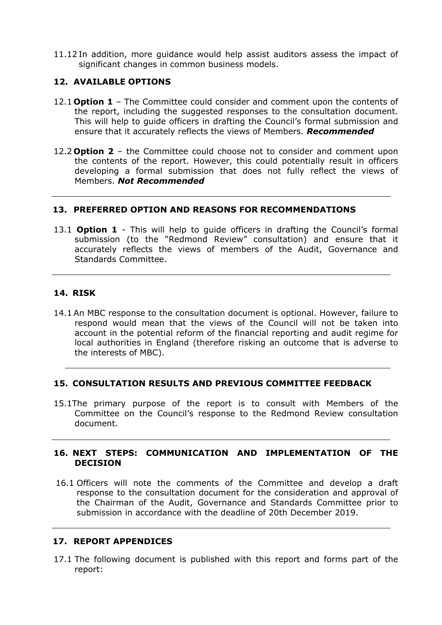11.12 In addition, more guidance would help assist auditors assess the impact of significant changes in common business models.

### **12. AVAILABLE OPTIONS**

- 12.1 **Option 1** The Committee could consider and comment upon the contents of the report, including the suggested responses to the consultation document. This will help to guide officers in drafting the Council's formal submission and ensure that it accurately reflects the views of Members. *Recommended*
- 12.2 **Option 2** the Committee could choose not to consider and comment upon the contents of the report. However, this could potentially result in officers developing a formal submission that does not fully reflect the views of Members. *Not Recommended*

### **13. PREFERRED OPTION AND REASONS FOR RECOMMENDATIONS**

13.1 **Option 1** - This will help to guide officers in drafting the Council's formal submission (to the "Redmond Review" consultation) and ensure that it accurately reflects the views of members of the Audit, Governance and Standards Committee.

### **14. RISK**

14.1 An MBC response to the consultation document is optional. However, failure to respond would mean that the views of the Council will not be taken into account in the potential reform of the financial reporting and audit regime for local authorities in England (therefore risking an outcome that is adverse to the interests of MBC).

#### **15. CONSULTATION RESULTS AND PREVIOUS COMMITTEE FEEDBACK**

15.1The primary purpose of the report is to consult with Members of the Committee on the Council's response to the Redmond Review consultation document.

### **16. NEXT STEPS: COMMUNICATION AND IMPLEMENTATION OF THE DECISION**

16.1 Officers will note the comments of the Committee and develop a draft response to the consultation document for the consideration and approval of the Chairman of the Audit, Governance and Standards Committee prior to submission in accordance with the deadline of 20th December 2019.

### **17. REPORT APPENDICES**

17.1 The following document is published with this report and forms part of the report: